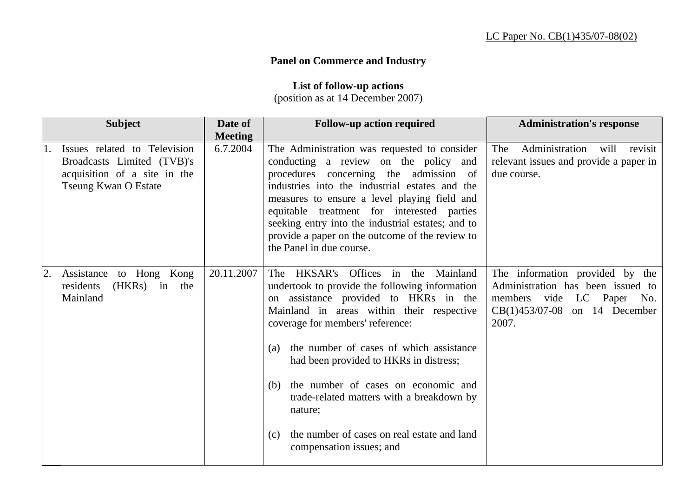## **Panel on Commerce and Industry**

**List of follow-up actions** 

(position as at 14 December 2007)

| <b>Subject</b>                                                                                                            | Date of<br><b>Meeting</b> | <b>Follow-up action required</b>                                                                                                                                                                                                                                                                                                                                                                                                                                                                          | <b>Administration's response</b>                                                                                                              |
|---------------------------------------------------------------------------------------------------------------------------|---------------------------|-----------------------------------------------------------------------------------------------------------------------------------------------------------------------------------------------------------------------------------------------------------------------------------------------------------------------------------------------------------------------------------------------------------------------------------------------------------------------------------------------------------|-----------------------------------------------------------------------------------------------------------------------------------------------|
| Issues related to Television<br>Broadcasts Limited (TVB)'s<br>acquisition of a site in the<br><b>Tseung Kwan O Estate</b> | 6.7.2004                  | The Administration was requested to consider<br>conducting a review on the policy and<br>procedures concerning the admission of<br>industries into the industrial estates and the<br>measures to ensure a level playing field and<br>equitable treatment for interested parties<br>seeking entry into the industrial estates; and to<br>provide a paper on the outcome of the review to<br>the Panel in due course.                                                                                       | Administration<br>The<br>will<br>revisit<br>relevant issues and provide a paper in<br>due course.                                             |
| Assistance to Hong Kong<br>residents<br>(HKRs)<br>in<br>the<br>Mainland                                                   | 20.11.2007                | HKSAR's Offices in the<br>Mainland<br>The<br>undertook to provide the following information<br>on assistance provided to HKRs in the<br>Mainland in areas within their respective<br>coverage for members' reference:<br>the number of cases of which assistance<br>(a)<br>had been provided to HKRs in distress;<br>the number of cases on economic and<br>(b)<br>trade-related matters with a breakdown by<br>nature;<br>the number of cases on real estate and land<br>(c)<br>compensation issues; and | The information provided by the<br>Administration has been issued to<br>members vide LC Paper No.<br>$CB(1)453/07-08$ on 14 December<br>2007. |